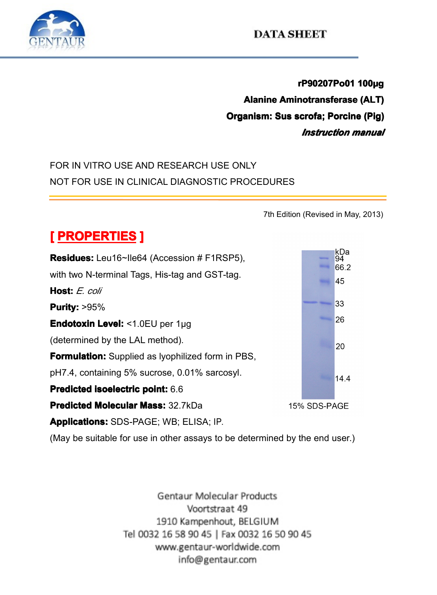

**rP90207Po01 100µg**<br>Alanine Aminotransferase (ALT)<br>anism: Sus scrofa; Porcine (Pig)<br>*Instruction manual* **Alanine Aminotransferase (ALT)**<br>Organism: Sus scrofa; Porcine (Pig)<br>*Instruction manual* **Crganism: Sus scrofa; Porcine (Pig)**<br> *Instruction manual*<br>SE ONLY *Instruction Instruction manual*

## FOR IN VITRO USE AND RESEARCH USE ONLY<br>NOT FOR USE IN CLINICAL DIAGNOSTIC PROC NOT FOR USE IN CLINICAL DIAGNOSTIC PROCEDURES



(May be suitable for use in other assays to be determined by the end user.)<br>Gentaur Molecular Products

Voortstraat 49 1910 Kampenhout, BELGIUM Tel 0032 16 58 90 45 | Fax 0032 16 50 90 45 www.gentaur-worldwide.com info@gentaur.com